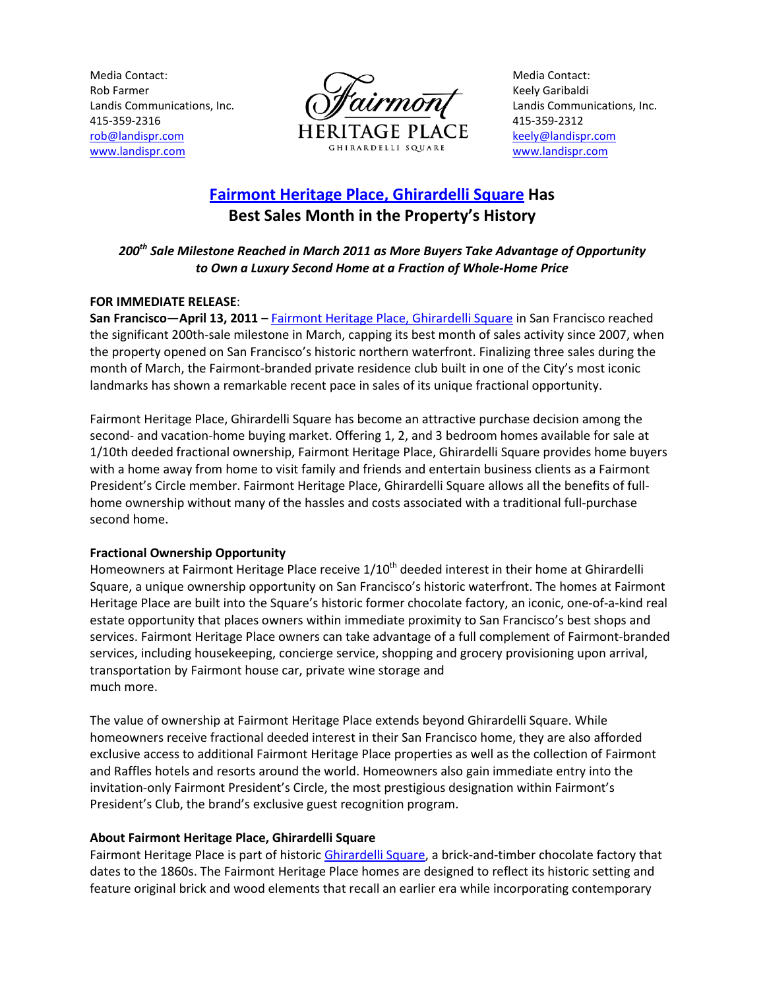Media Contact: Rob Farmer Landis Communications, Inc. 415-359-2316 rob@landispr.com www.landispr.com



Media Contact: Keely Garibaldi Landis Communications, Inc. 415-359-2312 keely@landispr.com www.landispr.com

# Fairmont Heritage Place, Ghirardelli Square Has Best Sales Month in the Property's History

## 200<sup>th</sup> Sale Milestone Reached in March 2011 as More Buyers Take Advantage of Opportunity to Own a Luxury Second Home at a Fraction of Whole-Home Price

## FOR IMMEDIATE RELEASE:

San Francisco—April 13, 2011 – Fairmont Heritage Place, Ghirardelli Square in San Francisco reached the significant 200th-sale milestone in March, capping its best month of sales activity since 2007, when the property opened on San Francisco's historic northern waterfront. Finalizing three sales during the month of March, the Fairmont-branded private residence club built in one of the City's most iconic landmarks has shown a remarkable recent pace in sales of its unique fractional opportunity.

Fairmont Heritage Place, Ghirardelli Square has become an attractive purchase decision among the second- and vacation-home buying market. Offering 1, 2, and 3 bedroom homes available for sale at 1/10th deeded fractional ownership, Fairmont Heritage Place, Ghirardelli Square provides home buyers with a home away from home to visit family and friends and entertain business clients as a Fairmont President's Circle member. Fairmont Heritage Place, Ghirardelli Square allows all the benefits of fullhome ownership without many of the hassles and costs associated with a traditional full-purchase second home.

### Fractional Ownership Opportunity

Homeowners at Fairmont Heritage Place receive 1/10<sup>th</sup> deeded interest in their home at Ghirardelli Square, a unique ownership opportunity on San Francisco's historic waterfront. The homes at Fairmont Heritage Place are built into the Square's historic former chocolate factory, an iconic, one-of-a-kind real estate opportunity that places owners within immediate proximity to San Francisco's best shops and services. Fairmont Heritage Place owners can take advantage of a full complement of Fairmont-branded services, including housekeeping, concierge service, shopping and grocery provisioning upon arrival, transportation by Fairmont house car, private wine storage and much more.

The value of ownership at Fairmont Heritage Place extends beyond Ghirardelli Square. While homeowners receive fractional deeded interest in their San Francisco home, they are also afforded exclusive access to additional Fairmont Heritage Place properties as well as the collection of Fairmont and Raffles hotels and resorts around the world. Homeowners also gain immediate entry into the invitation-only Fairmont President's Circle, the most prestigious designation within Fairmont's President's Club, the brand's exclusive guest recognition program.

### About Fairmont Heritage Place, Ghirardelli Square

Fairmont Heritage Place is part of historic Ghirardelli Square, a brick-and-timber chocolate factory that dates to the 1860s. The Fairmont Heritage Place homes are designed to reflect its historic setting and feature original brick and wood elements that recall an earlier era while incorporating contemporary